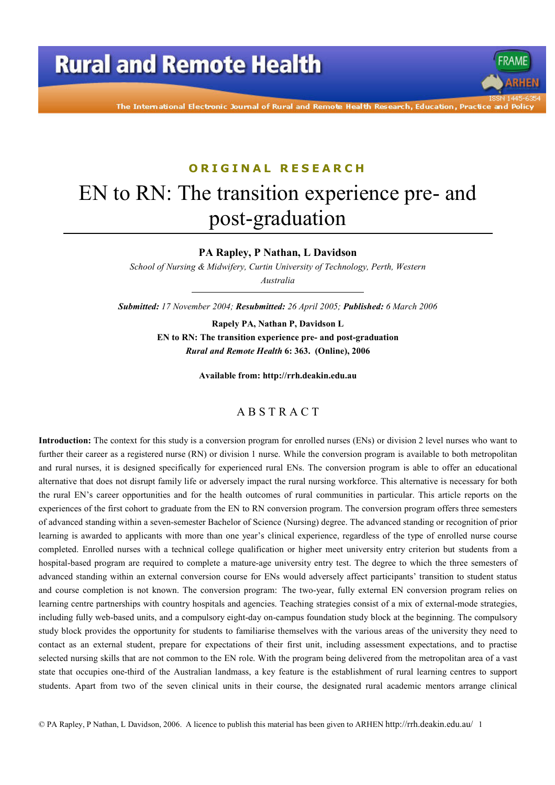# **Rural and Remote Health**

The International Electronic Journal of Rural and Remote Health Research, Education, Practice and Polio

### ORTGINAL RESEARCH

# EN to RN: The transition experience pre- and post-graduation

PA Rapley, P Nathan, L Davidson

School of Nursing & Midwifery, Curtin University of Technology, Perth, Western Australia

Submitted: 17 November 2004; Resubmitted: 26 April 2005; Published: 6 March 2006

Rapely PA, Nathan P, Davidson L EN to RN: The transition experience pre- and post-graduation Rural and Remote Health 6: 363. (Online), 2006

Available from: http://rrh.deakin.edu.au

#### **ABSTRACT**

Introduction: The context for this study is a conversion program for enrolled nurses (ENs) or division 2 level nurses who want to further their career as a registered nurse (RN) or division 1 nurse. While the conversion program is available to both metropolitan and rural nurses, it is designed specifically for experienced rural ENs. The conversion program is able to offer an educational alternative that does not disrupt family life or adversely impact the rural nursing workforce. This alternative is necessary for both the rural EN's career opportunities and for the health outcomes of rural communities in particular. This article reports on the experiences of the first cohort to graduate from the EN to RN conversion program. The conversion program offers three semesters of advanced standing within a seven-semester Bachelor of Science (Nursing) degree. The advanced standing or recognition of prior learning is awarded to applicants with more than one year's clinical experience, regardless of the type of enrolled nurse course completed. Enrolled nurses with a technical college qualification or higher meet university entry criterion but students from a hospital-based program are required to complete a mature-age university entry test. The degree to which the three semesters of advanced standing within an external conversion course for ENs would adversely affect participants' transition to student status and course completion is not known. The conversion program: The two-year, fully external EN conversion program relies on learning centre partnerships with country hospitals and agencies. Teaching strategies consist of a mix of external-mode strategies, including fully web-based units, and a compulsory eight-day on-campus foundation study block at the beginning. The compulsory study block provides the opportunity for students to familiarise themselves with the various areas of the university they need to contact as an external student, prepare for expectations of their first unit, including assessment expectations, and to practise selected nursing skills that are not common to the EN role. With the program being delivered from the metropolitan area of a vast state that occupies one-third of the Australian landmass, a key feature is the establishment of rural learning centres to support students. Apart from two of the seven clinical units in their course, the designated rural academic mentors arrange clinical

© PA Rapley, P Nathan, L Davidson, 2006. A licence to publish this material has been given to ARHEN http://rrh.deakin.edu.au/ 1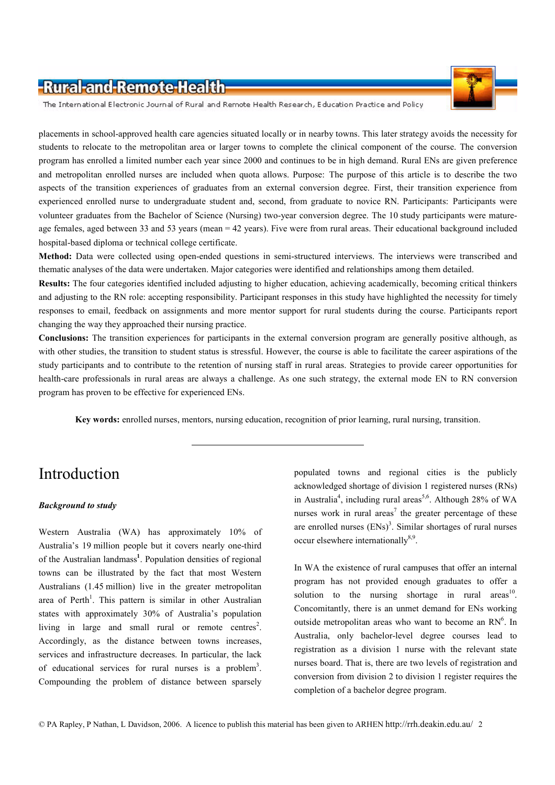

The International Electronic Journal of Rural and Remote Health Research, Education Practice and Policy

placements in school-approved health care agencies situated locally or in nearby towns. This later strategy avoids the necessity for students to relocate to the metropolitan area or larger towns to complete the clinical component of the course. The conversion program has enrolled a limited number each year since 2000 and continues to be in high demand. Rural ENs are given preference and metropolitan enrolled nurses are included when quota allows. Purpose: The purpose of this article is to describe the two aspects of the transition experiences of graduates from an external conversion degree. First, their transition experience from experienced enrolled nurse to undergraduate student and, second, from graduate to novice RN. Participants: Participants were volunteer graduates from the Bachelor of Science (Nursing) two-year conversion degree. The 10 study participants were matureage females, aged between 33 and 53 years (mean = 42 years). Five were from rural areas. Their educational background included hospital-based diploma or technical college certificate.

Method: Data were collected using open-ended questions in semi-structured interviews. The interviews were transcribed and thematic analyses of the data were undertaken. Major categories were identified and relationships among them detailed.

Results: The four categories identified included adjusting to higher education, achieving academically, becoming critical thinkers and adjusting to the RN role: accepting responsibility. Participant responses in this study have highlighted the necessity for timely responses to email, feedback on assignments and more mentor support for rural students during the course. Participants report changing the way they approached their nursing practice.

**Conclusions:** The transition experiences for participants in the external conversion program are generally positive although, as with other studies, the transition to student status is stressful. However, the course is able to facilitate the career aspirations of the study participants and to contribute to the retention of nursing staff in rural areas. Strategies to provide career opportunities for health-care professionals in rural areas are always a challenge. As one such strategy, the external mode EN to RN conversion program has proven to be effective for experienced ENs.

Key words: enrolled nurses, mentors, nursing education, recognition of prior learning, rural nursing, transition.

# Introduction

#### **Background to study**

Western Australia (WA) has approximately 10% of Australia's 19 million people but it covers nearly one-third of the Australian landmass<sup>1</sup>. Population densities of regional towns can be illustrated by the fact that most Western Australians (1.45 million) live in the greater metropolitan area of Perth<sup>1</sup>. This pattern is similar in other Australian states with approximately 30% of Australia's population living in large and small rural or remote centres<sup>2</sup>. Accordingly, as the distance between towns increases, services and infrastructure decreases. In particular, the lack of educational services for rural nurses is a problem<sup>3</sup>. Compounding the problem of distance between sparsely

populated towns and regional cities is the publicly acknowledged shortage of division 1 registered nurses (RNs) in Australia<sup>4</sup>, including rural areas<sup>5,6</sup>. Although 28% of WA nurses work in rural areas<sup>7</sup> the greater percentage of these are enrolled nurses  $(ENS)^3$ . Similar shortages of rural nurses occur elsewhere internationally<sup>8,9</sup>.

In WA the existence of rural campuses that offer an internal program has not provided enough graduates to offer a solution to the nursing shortage in rural areas<sup>10</sup>. Concomitantly, there is an unmet demand for ENs working outside metropolitan areas who want to become an RN<sup>6</sup>. In Australia, only bachelor-level degree courses lead to registration as a division 1 nurse with the relevant state nurses board. That is, there are two levels of registration and conversion from division 2 to division 1 register requires the completion of a bachelor degree program.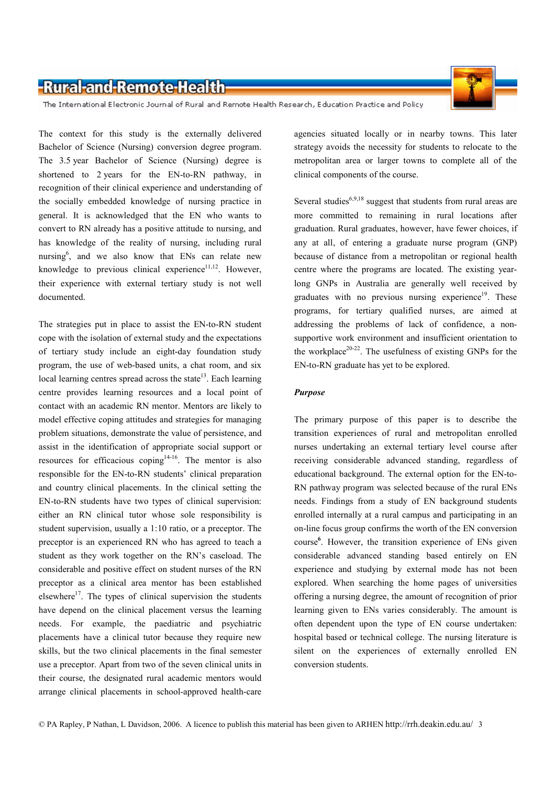

The International Electronic Journal of Rural and Remote Health Research, Education Practice and Policy

The context for this study is the externally delivered Bachelor of Science (Nursing) conversion degree program. The 3.5 year Bachelor of Science (Nursing) degree is shortened to 2 years for the EN-to-RN pathway, in recognition of their clinical experience and understanding of the socially embedded knowledge of nursing practice in general. It is acknowledged that the EN who wants to convert to RN already has a positive attitude to nursing, and has knowledge of the reality of nursing, including rural nursing<sup>6</sup>, and we also know that ENs can relate new knowledge to previous clinical experience $^{11,12}$ . However, their experience with external tertiary study is not well documented.

The strategies put in place to assist the EN-to-RN student cope with the isolation of external study and the expectations of tertiary study include an eight-day foundation study program, the use of web-based units, a chat room, and six local learning centres spread across the state<sup>13</sup>. Each learning centre provides learning resources and a local point of contact with an academic RN mentor. Mentors are likely to model effective coping attitudes and strategies for managing problem situations, demonstrate the value of persistence, and assist in the identification of appropriate social support or resources for efficacious coping<sup>14-16</sup>. The mentor is also responsible for the EN-to-RN students' clinical preparation and country clinical placements. In the clinical setting the EN-to-RN students have two types of clinical supervision: either an RN clinical tutor whose sole responsibility is student supervision, usually a 1:10 ratio, or a preceptor. The preceptor is an experienced RN who has agreed to teach a student as they work together on the RN's caseload. The considerable and positive effect on student nurses of the RN preceptor as a clinical area mentor has been established elsewhere<sup>17</sup>. The types of clinical supervision the students have depend on the clinical placement versus the learning needs. For example, the paediatric and psychiatric placements have a clinical tutor because they require new skills, but the two clinical placements in the final semester use a preceptor. Apart from two of the seven clinical units in their course, the designated rural academic mentors would arrange clinical placements in school-approved health-care

agencies situated locally or in nearby towns. This later strategy avoids the necessity for students to relocate to the metropolitan area or larger towns to complete all of the clinical components of the course.

Several studies<sup>6,9,18</sup> suggest that students from rural areas are more committed to remaining in rural locations after graduation. Rural graduates, however, have fewer choices, if any at all, of entering a graduate nurse program (GNP) because of distance from a metropolitan or regional health centre where the programs are located. The existing yearlong GNPs in Australia are generally well received by graduates with no previous nursing experience<sup>19</sup>. These programs, for tertiary qualified nurses, are aimed at addressing the problems of lack of confidence, a nonsupportive work environment and insufficient orientation to the workplace<sup>20-22</sup>. The usefulness of existing GNPs for the EN-to-RN graduate has yet to be explored.

#### **Purpose**

The primary purpose of this paper is to describe the transition experiences of rural and metropolitan enrolled nurses undertaking an external tertiary level course after receiving considerable advanced standing, regardless of educational background. The external option for the EN-to-RN pathway program was selected because of the rural ENs needs. Findings from a study of EN background students enrolled internally at a rural campus and participating in an on-line focus group confirms the worth of the EN conversion course<sup>6</sup>. However, the transition experience of ENs given considerable advanced standing based entirely on EN experience and studying by external mode has not been explored. When searching the home pages of universities offering a nursing degree, the amount of recognition of prior learning given to ENs varies considerably. The amount is often dependent upon the type of EN course undertaken: hospital based or technical college. The nursing literature is silent on the experiences of externally enrolled EN conversion students.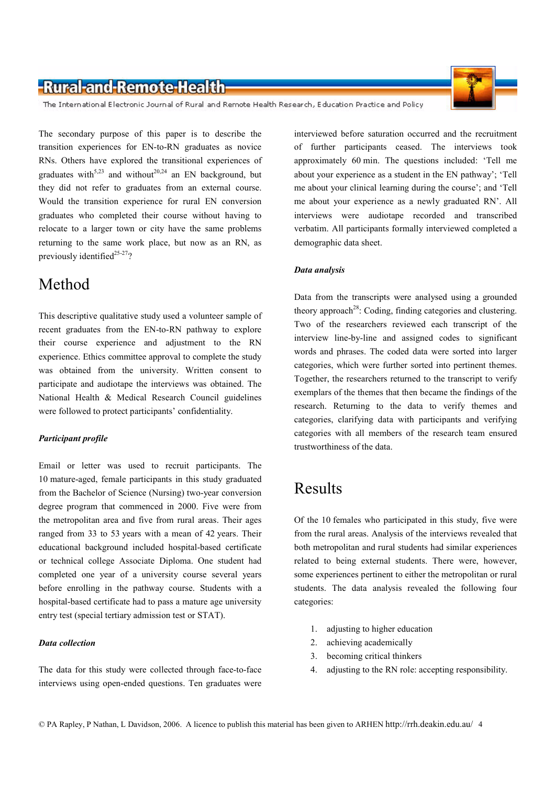The International Electronic Journal of Rural and Remote Health Research, Education Practice and Policy

The secondary purpose of this paper is to describe the transition experiences for EN-to-RN graduates as novice RNs. Others have explored the transitional experiences of graduates with<sup>5,23</sup> and without<sup>20,24</sup> an EN background, but they did not refer to graduates from an external course. Would the transition experience for rural EN conversion graduates who completed their course without having to relocate to a larger town or city have the same problems returning to the same work place, but now as an RN, as previously identified<sup>25-27</sup>?

### Method

This descriptive qualitative study used a volunteer sample of recent graduates from the EN-to-RN pathway to explore their course experience and adjustment to the RN experience. Ethics committee approval to complete the study was obtained from the university. Written consent to participate and audiotape the interviews was obtained. The National Health & Medical Research Council guidelines were followed to protect participants' confidentiality.

#### **Participant profile**

Email or letter was used to recruit participants. The 10 mature-aged, female participants in this study graduated from the Bachelor of Science (Nursing) two-year conversion degree program that commenced in 2000. Five were from the metropolitan area and five from rural areas. Their ages ranged from 33 to 53 years with a mean of 42 years. Their educational background included hospital-based certificate or technical college Associate Diploma. One student had completed one year of a university course several years before enrolling in the pathway course. Students with a hospital-based certificate had to pass a mature age university entry test (special tertiary admission test or STAT).

#### **Data** collection

The data for this study were collected through face-to-face interviews using open-ended questions. Ten graduates were interviewed before saturation occurred and the recruitment of further participants ceased. The interviews took approximately 60 min. The questions included: 'Tell me about your experience as a student in the EN pathway'; 'Tell me about your clinical learning during the course'; and 'Tell me about your experience as a newly graduated RN'. All interviews were audiotape recorded and transcribed verbatim. All participants formally interviewed completed a demographic data sheet.

#### Data analysis

Data from the transcripts were analysed using a grounded theory approach<sup>28</sup>: Coding, finding categories and clustering. Two of the researchers reviewed each transcript of the interview line-by-line and assigned codes to significant words and phrases. The coded data were sorted into larger categories, which were further sorted into pertinent themes. Together, the researchers returned to the transcript to verify exemplars of the themes that then became the findings of the research. Returning to the data to verify themes and categories, clarifying data with participants and verifying categories with all members of the research team ensured trustworthiness of the data.

### **Results**

Of the 10 females who participated in this study, five were from the rural areas. Analysis of the interviews revealed that both metropolitan and rural students had similar experiences related to being external students. There were, however, some experiences pertinent to either the metropolitan or rural students. The data analysis revealed the following four categories:

- $1$ adjusting to higher education
- $2^{\circ}$ achieving academically
- $3.$ becoming critical thinkers
- adjusting to the RN role: accepting responsibility.  $4<sup>1</sup>$

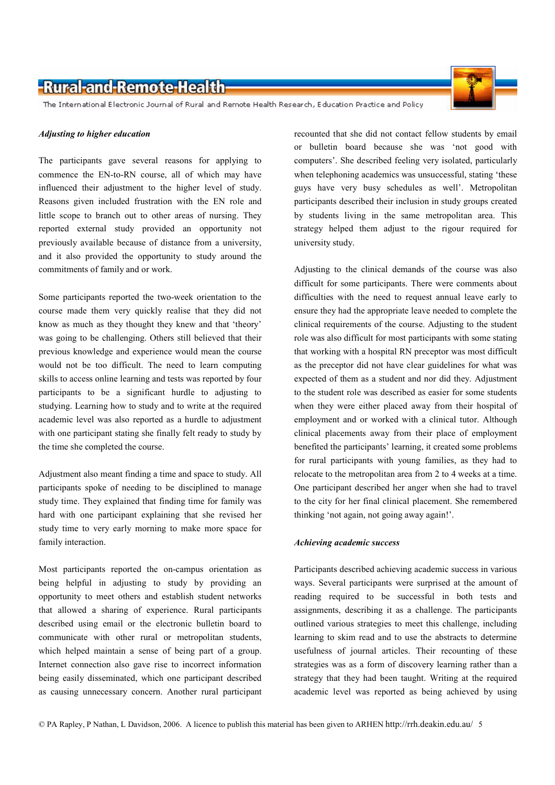The International Electronic Journal of Rural and Remote Health Research, Education Practice and Policy

#### Adjusting to higher education

The participants gave several reasons for applying to commence the EN-to-RN course, all of which may have influenced their adjustment to the higher level of study. Reasons given included frustration with the EN role and little scope to branch out to other areas of nursing. They reported external study provided an opportunity not previously available because of distance from a university, and it also provided the opportunity to study around the commitments of family and or work.

Some participants reported the two-week orientation to the course made them very quickly realise that they did not know as much as they thought they knew and that 'theory' was going to be challenging. Others still believed that their previous knowledge and experience would mean the course would not be too difficult. The need to learn computing skills to access online learning and tests was reported by four participants to be a significant hurdle to adjusting to studying. Learning how to study and to write at the required academic level was also reported as a hurdle to adjustment with one participant stating she finally felt ready to study by the time she completed the course.

Adjustment also meant finding a time and space to study. All participants spoke of needing to be disciplined to manage study time. They explained that finding time for family was hard with one participant explaining that she revised her study time to very early morning to make more space for family interaction.

Most participants reported the on-campus orientation as being helpful in adjusting to study by providing an opportunity to meet others and establish student networks that allowed a sharing of experience. Rural participants described using email or the electronic bulletin board to communicate with other rural or metropolitan students, which helped maintain a sense of being part of a group. Internet connection also gave rise to incorrect information being easily disseminated, which one participant described as causing unnecessary concern. Another rural participant recounted that she did not contact fellow students by email or bulletin board because she was 'not good with computers'. She described feeling very isolated, particularly when telephoning academics was unsuccessful, stating 'these guys have very busy schedules as well'. Metropolitan participants described their inclusion in study groups created by students living in the same metropolitan area. This strategy helped them adjust to the rigour required for university study.

Adjusting to the clinical demands of the course was also difficult for some participants. There were comments about difficulties with the need to request annual leave early to ensure they had the appropriate leave needed to complete the clinical requirements of the course. Adjusting to the student role was also difficult for most participants with some stating that working with a hospital RN preceptor was most difficult as the preceptor did not have clear guidelines for what was expected of them as a student and nor did they. Adjustment to the student role was described as easier for some students when they were either placed away from their hospital of employment and or worked with a clinical tutor. Although clinical placements away from their place of employment benefited the participants' learning, it created some problems for rural participants with young families, as they had to relocate to the metropolitan area from 2 to 4 weeks at a time. One participant described her anger when she had to travel to the city for her final clinical placement. She remembered thinking 'not again, not going away again!'.

#### Achieving academic success

Participants described achieving academic success in various ways. Several participants were surprised at the amount of reading required to be successful in both tests and assignments, describing it as a challenge. The participants outlined various strategies to meet this challenge, including learning to skim read and to use the abstracts to determine usefulness of journal articles. Their recounting of these strategies was as a form of discovery learning rather than a strategy that they had been taught. Writing at the required academic level was reported as being achieved by using

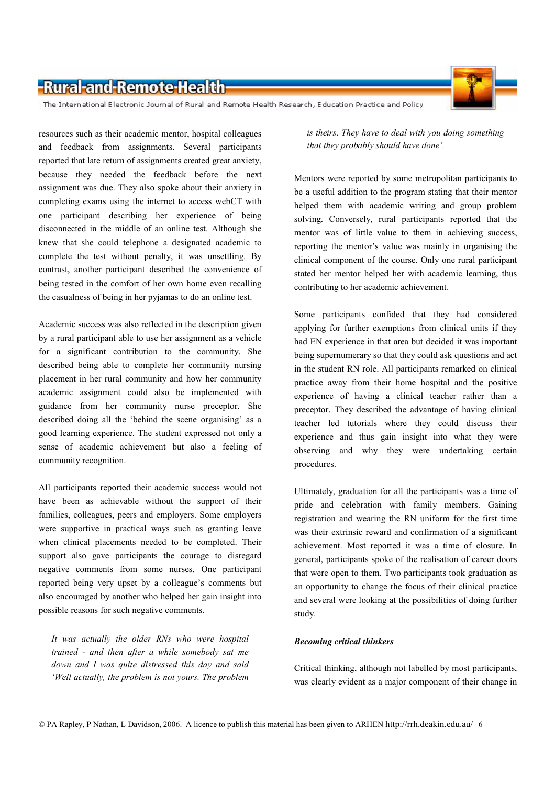

The International Electronic Journal of Rural and Remote Health Research, Education Practice and Policy

resources such as their academic mentor, hospital colleagues and feedback from assignments. Several participants reported that late return of assignments created great anxiety, because they needed the feedback before the next assignment was due. They also spoke about their anxiety in completing exams using the internet to access webCT with one participant describing her experience of being disconnected in the middle of an online test. Although she knew that she could telephone a designated academic to complete the test without penalty, it was unsettling. By contrast, another participant described the convenience of being tested in the comfort of her own home even recalling the casualness of being in her pyjamas to do an online test.

Academic success was also reflected in the description given by a rural participant able to use her assignment as a vehicle for a significant contribution to the community. She described being able to complete her community nursing placement in her rural community and how her community academic assignment could also be implemented with guidance from her community nurse preceptor. She described doing all the 'behind the scene organising' as a good learning experience. The student expressed not only a sense of academic achievement but also a feeling of community recognition.

All participants reported their academic success would not have been as achievable without the support of their families, colleagues, peers and employers. Some employers were supportive in practical ways such as granting leave when clinical placements needed to be completed. Their support also gave participants the courage to disregard negative comments from some nurses. One participant reported being very upset by a colleague's comments but also encouraged by another who helped her gain insight into possible reasons for such negative comments.

It was actually the older RNs who were hospital trained - and then after a while somebody sat me down and I was quite distressed this day and said 'Well actually, the problem is not yours. The problem

is theirs. They have to deal with you doing something that they probably should have done'.

Mentors were reported by some metropolitan participants to be a useful addition to the program stating that their mentor helped them with academic writing and group problem solving. Conversely, rural participants reported that the mentor was of little value to them in achieving success, reporting the mentor's value was mainly in organising the clinical component of the course. Only one rural participant stated her mentor helped her with academic learning, thus contributing to her academic achievement.

Some participants confided that they had considered applying for further exemptions from clinical units if they had EN experience in that area but decided it was important being supernumerary so that they could ask questions and act in the student RN role. All participants remarked on clinical practice away from their home hospital and the positive experience of having a clinical teacher rather than a preceptor. They described the advantage of having clinical teacher led tutorials where they could discuss their experience and thus gain insight into what they were observing and why they were undertaking certain procedures.

Ultimately, graduation for all the participants was a time of pride and celebration with family members. Gaining registration and wearing the RN uniform for the first time was their extrinsic reward and confirmation of a significant achievement. Most reported it was a time of closure. In general, participants spoke of the realisation of career doors that were open to them. Two participants took graduation as an opportunity to change the focus of their clinical practice and several were looking at the possibilities of doing further study.

#### **Becoming critical thinkers**

Critical thinking, although not labelled by most participants, was clearly evident as a major component of their change in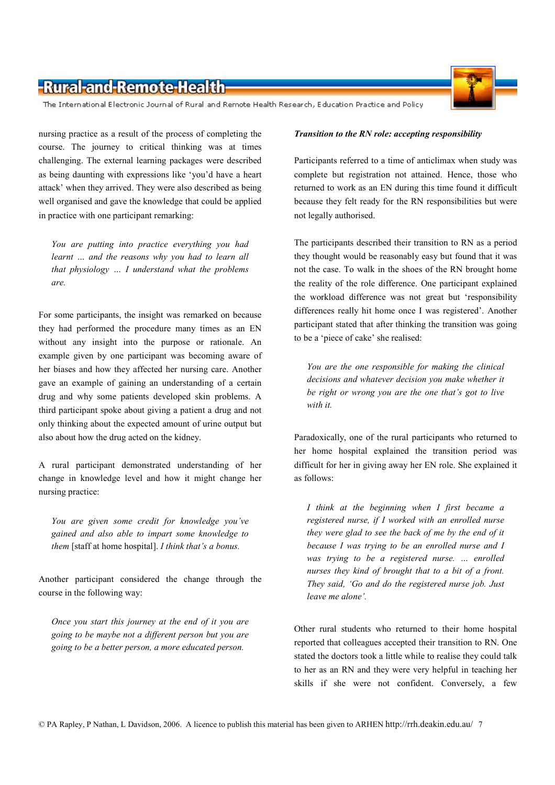The International Electronic Journal of Rural and Remote Health Research, Education Practice and Policy

nursing practice as a result of the process of completing the course. The journey to critical thinking was at times challenging. The external learning packages were described as being daunting with expressions like 'you'd have a heart attack' when they arrived. They were also described as being well organised and gave the knowledge that could be applied in practice with one participant remarking:

You are putting into practice everything you had learnt ... and the reasons why you had to learn all that physiology ... I understand what the problems are.

For some participants, the insight was remarked on because they had performed the procedure many times as an EN without any insight into the purpose or rationale. An example given by one participant was becoming aware of her biases and how they affected her nursing care. Another gave an example of gaining an understanding of a certain drug and why some patients developed skin problems. A third participant spoke about giving a patient a drug and not only thinking about the expected amount of urine output but also about how the drug acted on the kidney.

A rural participant demonstrated understanding of her change in knowledge level and how it might change her nursing practice:

You are given some credit for knowledge you've gained and also able to impart some knowledge to them [staff at home hospital]. I think that's a bonus.

Another participant considered the change through the course in the following way:

Once you start this journey at the end of it you are going to be maybe not a different person but you are going to be a better person, a more educated person.

#### Transition to the RN role: accepting responsibility

Participants referred to a time of anticlimax when study was complete but registration not attained. Hence, those who returned to work as an EN during this time found it difficult because they felt ready for the RN responsibilities but were not legally authorised.

The participants described their transition to RN as a period they thought would be reasonably easy but found that it was not the case. To walk in the shoes of the RN brought home the reality of the role difference. One participant explained the workload difference was not great but 'responsibility differences really hit home once I was registered'. Another participant stated that after thinking the transition was going to be a 'piece of cake' she realised:

You are the one responsible for making the clinical decisions and whatever decision you make whether it be right or wrong you are the one that's got to live with it

Paradoxically, one of the rural participants who returned to her home hospital explained the transition period was difficult for her in giving away her EN role. She explained it as follows:

I think at the beginning when I first became a registered nurse, if I worked with an enrolled nurse they were glad to see the back of me by the end of it because I was trying to be an enrolled nurse and I was trying to be a registered nurse. ... enrolled nurses they kind of brought that to a bit of a front. They said, 'Go and do the registered nurse job. Just leave me alone'.

Other rural students who returned to their home hospital reported that colleagues accepted their transition to RN. One stated the doctors took a little while to realise they could talk to her as an RN and they were very helpful in teaching her skills if she were not confident. Conversely, a few

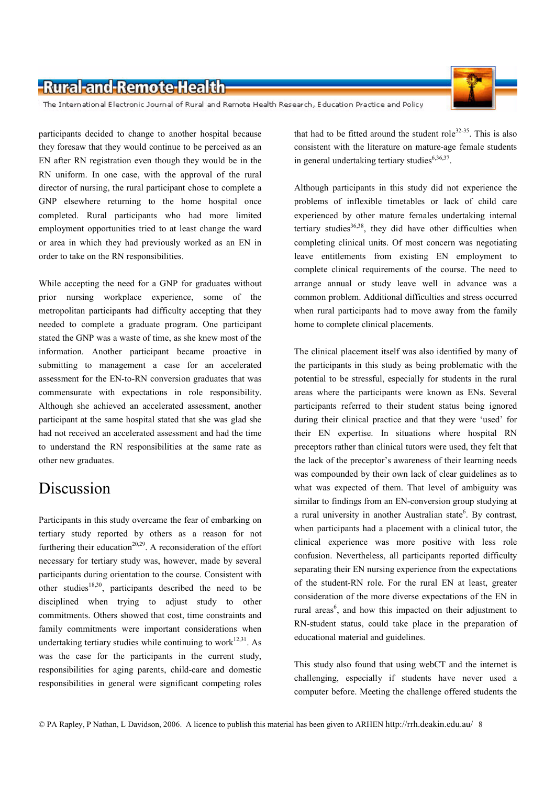The International Electronic Journal of Rural and Remote Health Research, Education Practice and Policy

participants decided to change to another hospital because they foresaw that they would continue to be perceived as an EN after RN registration even though they would be in the RN uniform. In one case, with the approval of the rural director of nursing, the rural participant chose to complete a GNP elsewhere returning to the home hospital once completed. Rural participants who had more limited employment opportunities tried to at least change the ward or area in which they had previously worked as an EN in order to take on the RN responsibilities.

While accepting the need for a GNP for graduates without prior nursing workplace experience, some of the metropolitan participants had difficulty accepting that they needed to complete a graduate program. One participant stated the GNP was a waste of time, as she knew most of the information. Another participant became proactive in submitting to management a case for an accelerated assessment for the EN-to-RN conversion graduates that was commensurate with expectations in role responsibility. Although she achieved an accelerated assessment, another participant at the same hospital stated that she was glad she had not received an accelerated assessment and had the time to understand the RN responsibilities at the same rate as other new graduates.

# Discussion

Participants in this study overcame the fear of embarking on tertiary study reported by others as a reason for not furthering their education<sup>20,29</sup>. A reconsideration of the effort necessary for tertiary study was, however, made by several participants during orientation to the course. Consistent with other studies<sup>18,30</sup>, participants described the need to be disciplined when trying to adjust study to other commitments. Others showed that cost, time constraints and family commitments were important considerations when undertaking tertiary studies while continuing to work<sup>12,31</sup>. As was the case for the participants in the current study, responsibilities for aging parents, child-care and domestic responsibilities in general were significant competing roles that had to be fitted around the student role<sup>32-35</sup>. This is also consistent with the literature on mature-age female students in general undertaking tertiary studies<sup>6,36,37</sup>.

Although participants in this study did not experience the problems of inflexible timetables or lack of child care experienced by other mature females undertaking internal tertiary studies<sup>36,38</sup>, they did have other difficulties when completing clinical units. Of most concern was negotiating leave entitlements from existing EN employment to complete clinical requirements of the course. The need to arrange annual or study leave well in advance was a common problem. Additional difficulties and stress occurred when rural participants had to move away from the family home to complete clinical placements.

The clinical placement itself was also identified by many of the participants in this study as being problematic with the potential to be stressful, especially for students in the rural areas where the participants were known as ENs. Several participants referred to their student status being ignored during their clinical practice and that they were 'used' for their EN expertise. In situations where hospital RN preceptors rather than clinical tutors were used, they felt that the lack of the preceptor's awareness of their learning needs was compounded by their own lack of clear guidelines as to what was expected of them. That level of ambiguity was similar to findings from an EN-conversion group studying at a rural university in another Australian state<sup>6</sup>. By contrast, when participants had a placement with a clinical tutor, the clinical experience was more positive with less role confusion. Nevertheless, all participants reported difficulty separating their EN nursing experience from the expectations of the student-RN role. For the rural EN at least, greater consideration of the more diverse expectations of the EN in rural areas<sup>6</sup>, and how this impacted on their adjustment to RN-student status, could take place in the preparation of educational material and guidelines.

This study also found that using webCT and the internet is challenging, especially if students have never used a computer before. Meeting the challenge offered students the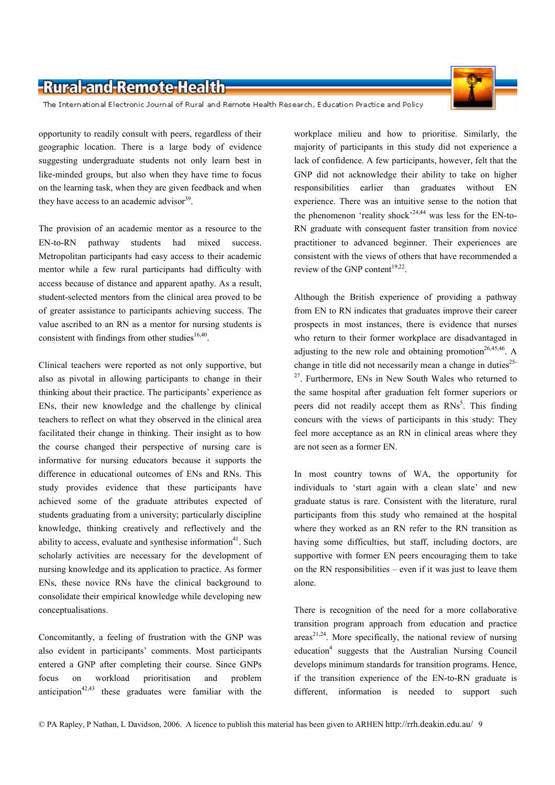The International Electronic Journal of Rural and Remote Health Research, Education Practice and Policy

opportunity to readily consult with peers, regardless of their geographic location. There is a large body of evidence suggesting undergraduate students not only learn best in like-minded groups, but also when they have time to focus on the learning task, when they are given feedback and when they have access to an academic advisor  $39$ .

The provision of an academic mentor as a resource to the EN-to-RN pathway students had mixed success. Metropolitan participants had easy access to their academic mentor while a few rural participants had difficulty with access because of distance and apparent apathy. As a result, student-selected mentors from the clinical area proved to be of greater assistance to participants achieving success. The value ascribed to an RN as a mentor for nursing students is consistent with findings from other studies  $16,40$ .

Clinical teachers were reported as not only supportive, but also as pivotal in allowing participants to change in their thinking about their practice. The participants' experience as ENs, their new knowledge and the challenge by clinical teachers to reflect on what they observed in the clinical area facilitated their change in thinking. Their insight as to how the course changed their perspective of nursing care is informative for nursing educators because it supports the difference in educational outcomes of ENs and RNs. This study provides evidence that these participants have achieved some of the graduate attributes expected of students graduating from a university; particularly discipline knowledge, thinking creatively and reflectively and the ability to access, evaluate and synthesise information<sup>41</sup>. Such scholarly activities are necessary for the development of nursing knowledge and its application to practice. As former ENs, these novice RNs have the clinical background to consolidate their empirical knowledge while developing new conceptualisations.

Concomitantly, a feeling of frustration with the GNP was also evident in participants' comments. Most participants entered a GNP after completing their course. Since GNPs focus on workload prioritisation and problem anticipation<sup>42,43</sup> these graduates were familiar with the workplace milieu and how to prioritise. Similarly, the majority of participants in this study did not experience a lack of confidence. A few participants, however, felt that the GNP did not acknowledge their ability to take on higher responsibilities earlier than graduates without EN experience. There was an intuitive sense to the notion that the phenomenon 'reality shock'<sup>24,44</sup> was less for the EN-to-RN graduate with consequent faster transition from novice practitioner to advanced beginner. Their experiences are consistent with the views of others that have recommended a review of the GNP content<sup>19,22</sup>.

Although the British experience of providing a pathway from EN to RN indicates that graduates improve their career prospects in most instances, there is evidence that nurses who return to their former workplace are disadvantaged in adjusting to the new role and obtaining promotion<sup>26,45,46</sup>. A change in title did not necessarily mean a change in duties<sup>25-</sup> <sup>27</sup>. Furthermore, ENs in New South Wales who returned to the same hospital after graduation felt former superiors or neers did not readily accept them as  $RNs^5$ . This finding concurs with the views of participants in this study: They feel more acceptance as an RN in clinical areas where they are not seen as a former EN.

In most country towns of WA, the opportunity for individuals to 'start again with a clean slate' and new graduate status is rare. Consistent with the literature, rural participants from this study who remained at the hospital where they worked as an RN refer to the RN transition as having some difficulties, but staff, including doctors, are supportive with former EN peers encouraging them to take on the RN responsibilities – even if it was just to leave them alone.

There is recognition of the need for a more collaborative transition program approach from education and practice  $\arccos^{21,24}$ . More specifically, the national review of nursing education<sup>4</sup> suggests that the Australian Nursing Council develops minimum standards for transition programs. Hence, if the transition experience of the EN-to-RN graduate is different, information is needed to support such

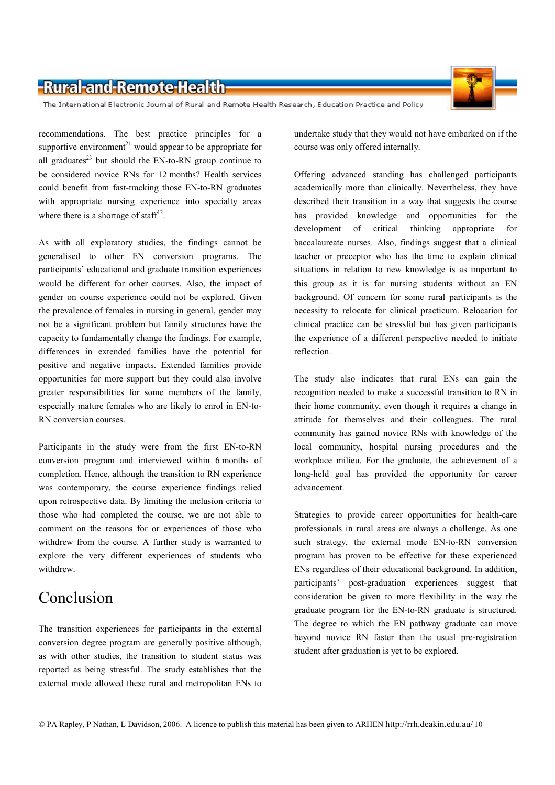The International Electronic Journal of Rural and Remote Health Research, Education Practice and Policy

recommendations. The best practice principles for a supportive environment<sup>21</sup> would appear to be appropriate for all graduates<sup>23</sup> but should the  $EN$ -to-RN group continue to be considered novice RNs for 12 months? Health services could benefit from fast-tracking those EN-to-RN graduates with appropriate nursing experience into specialty areas where there is a shortage of staff<sup>12</sup>.

As with all exploratory studies, the findings cannot be generalised to other EN conversion programs. The participants' educational and graduate transition experiences would be different for other courses. Also, the impact of gender on course experience could not be explored. Given the prevalence of females in nursing in general, gender may not be a significant problem but family structures have the capacity to fundamentally change the findings. For example, differences in extended families have the potential for positive and negative impacts. Extended families provide opportunities for more support but they could also involve greater responsibilities for some members of the family, especially mature females who are likely to enrol in EN-to-RN conversion courses

Participants in the study were from the first EN-to-RN conversion program and interviewed within 6 months of completion. Hence, although the transition to RN experience was contemporary, the course experience findings relied upon retrospective data. By limiting the inclusion criteria to those who had completed the course, we are not able to comment on the reasons for or experiences of those who withdrew from the course. A further study is warranted to explore the very different experiences of students who withdrew

# Conclusion

The transition experiences for participants in the external conversion degree program are generally positive although, as with other studies, the transition to student status was reported as being stressful. The study establishes that the external mode allowed these rural and metropolitan ENs to

undertake study that they would not have embarked on if the course was only offered internally.

Offering advanced standing has challenged participants academically more than clinically. Nevertheless, they have described their transition in a way that suggests the course has provided knowledge and opportunities for the development of critical thinking appropriate for baccalaureate nurses. Also, findings suggest that a clinical teacher or preceptor who has the time to explain clinical situations in relation to new knowledge is as important to this group as it is for nursing students without an EN background. Of concern for some rural participants is the necessity to relocate for clinical practicum. Relocation for clinical practice can be stressful but has given participants the experience of a different perspective needed to initiate reflection.

The study also indicates that rural ENs can gain the recognition needed to make a successful transition to RN in their home community, even though it requires a change in attitude for themselves and their colleagues. The rural community has gained novice RNs with knowledge of the local community, hospital nursing procedures and the workplace milieu. For the graduate, the achievement of a long-held goal has provided the opportunity for career advancement.

Strategies to provide career opportunities for health-care professionals in rural areas are always a challenge. As one such strategy, the external mode EN-to-RN conversion program has proven to be effective for these experienced ENs regardless of their educational background. In addition, participants' post-graduation experiences suggest that consideration be given to more flexibility in the way the graduate program for the EN-to-RN graduate is structured. The degree to which the EN pathway graduate can move beyond novice RN faster than the usual pre-registration student after graduation is vet to be explored.

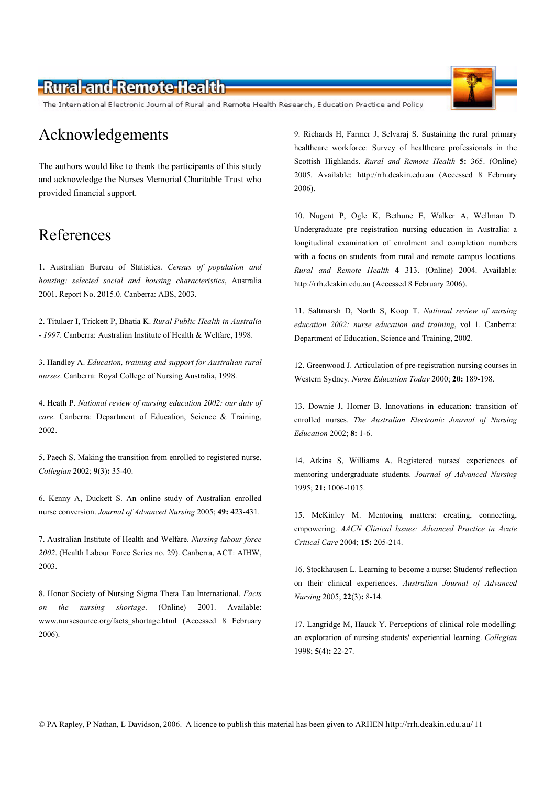The International Electronic Journal of Rural and Remote Health Research, Education Practice and Policy

### Acknowledgements

The authors would like to thank the participants of this study and acknowledge the Nurses Memorial Charitable Trust who provided financial support.

### References

1. Australian Bureau of Statistics. Census of population and housing: selected social and housing characteristics, Australia 2001. Report No. 2015.0. Canberra: ABS, 2003.

2. Titulaer I, Trickett P, Bhatia K. Rural Public Health in Australia - 1997. Canberra: Australian Institute of Health & Welfare, 1998.

3. Handley A. Education, training and support for Australian rural nurses. Canberra: Royal College of Nursing Australia, 1998.

4. Heath P. National review of nursing education 2002: our duty of care. Canberra: Department of Education, Science & Training, 2002.

5. Paech S. Making the transition from enrolled to registered nurse. Collegian 2002; 9(3): 35-40.

6. Kenny A, Duckett S. An online study of Australian enrolled nurse conversion. Journal of Advanced Nursing 2005; 49: 423-431.

7. Australian Institute of Health and Welfare. Nursing labour force 2002. (Health Labour Force Series no. 29). Canberra, ACT: AIHW, 2003.

8. Honor Society of Nursing Sigma Theta Tau International. Facts the nursing shortage. (Online) 2001. Available:  $\overline{on}$ www.nursesource.org/facts shortage.html (Accessed 8 February 2006).

9. Richards H, Farmer J, Selvaraj S. Sustaining the rural primary healthcare workforce: Survey of healthcare professionals in the Scottish Highlands. Rural and Remote Health 5: 365. (Online) 2005. Available: http://rrh.deakin.edu.au (Accessed 8 February 2006).

10. Nugent P, Ogle K, Bethune E, Walker A, Wellman D. Undergraduate pre registration nursing education in Australia: a longitudinal examination of enrolment and completion numbers with a focus on students from rural and remote campus locations. Rural and Remote Health 4 313. (Online) 2004. Available: http://rrh.deakin.edu.au (Accessed 8 February 2006).

11. Saltmarsh D, North S, Koop T. National review of nursing education 2002: nurse education and training, vol 1. Canberra: Department of Education, Science and Training, 2002.

12. Greenwood J. Articulation of pre-registration nursing courses in Western Sydney. Nurse Education Today 2000; 20: 189-198.

13. Downie J. Horner B. Innovations in education: transition of enrolled nurses. The Australian Electronic Journal of Nursing Education 2002; 8: 1-6.

14. Atkins S, Williams A. Registered nurses' experiences of mentoring undergraduate students. Journal of Advanced Nursing 1995; 21: 1006-1015.

15. McKinley M. Mentoring matters: creating, connecting, empowering. AACN Clinical Issues: Advanced Practice in Acute Critical Care 2004; 15: 205-214.

16. Stockhausen L. Learning to become a nurse: Students' reflection on their clinical experiences. Australian Journal of Advanced Nursing 2005; 22(3): 8-14.

17. Langridge M, Hauck Y. Perceptions of clinical role modelling: an exploration of nursing students' experiential learning. Collegian 1998; 5(4): 22-27.

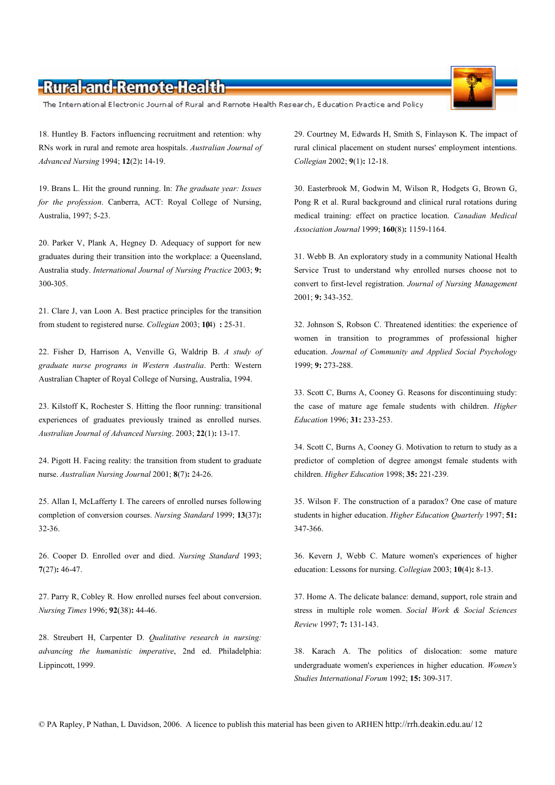The International Electronic Journal of Rural and Remote Health Research, Education Practice and Policy

18. Huntley B. Factors influencing recruitment and retention: why RNs work in rural and remote area hospitals. Australian Journal of Advanced Nursing 1994; 12(2): 14-19.

19. Brans L. Hit the ground running. In: The graduate year: Issues for the profession. Canberra, ACT: Royal College of Nursing, Australia, 1997; 5-23.

20. Parker V, Plank A, Hegney D. Adequacy of support for new graduates during their transition into the workplace: a Queensland, Australia study. International Journal of Nursing Practice 2003; 9: 300-305.

21. Clare J, van Loon A. Best practice principles for the transition from student to registered nurse. Collegian 2003: 104): 25-31.

22. Fisher D, Harrison A, Venville G, Waldrip B. A study of graduate nurse programs in Western Australia. Perth: Western Australian Chapter of Royal College of Nursing, Australia, 1994.

23. Kilstoff K, Rochester S. Hitting the floor running: transitional experiences of graduates previously trained as enrolled nurses. Australian Journal of Advanced Nursing. 2003; 22(1): 13-17.

24. Pigott H. Facing reality: the transition from student to graduate nurse. Australian Nursing Journal 2001; 8(7): 24-26.

25. Allan I, McLafferty I. The careers of enrolled nurses following completion of conversion courses. Nursing Standard 1999; 13(37):  $32 - 36$ .

26. Cooper D. Enrolled over and died. Nursing Standard 1993;  $7(27): 46-47.$ 

27. Parry R, Cobley R. How enrolled nurses feel about conversion. Nursing Times 1996: 92(38): 44-46.

28. Streubert H, Carpenter D. Qualitative research in nursing: advancing the humanistic imperative, 2nd ed. Philadelphia: Lippincott, 1999.

29. Courtney M, Edwards H, Smith S, Finlayson K. The impact of rural clinical placement on student nurses' employment intentions. Collegian 2002; 9(1): 12-18.

30. Easterbrook M, Godwin M, Wilson R, Hodgets G, Brown G, Pong R et al. Rural background and clinical rural rotations during medical training: effect on practice location. Canadian Medical Association Journal 1999; 160(8): 1159-1164.

31. Webb B. An exploratory study in a community National Health Service Trust to understand why enrolled nurses choose not to convert to first-level registration. Journal of Nursing Management 2001; 9: 343-352.

32. Johnson S. Robson C. Threatened identities: the experience of women in transition to programmes of professional higher education. Journal of Community and Applied Social Psychology 1999; 9: 273-288.

33. Scott C, Burns A, Cooney G. Reasons for discontinuing study: the case of mature age female students with children. Higher Education 1996; 31: 233-253.

34. Scott C, Burns A, Cooney G. Motivation to return to study as a predictor of completion of degree amongst female students with children. Higher Education 1998; 35: 221-239.

35. Wilson F. The construction of a paradox? One case of mature students in higher education. Higher Education Quarterly 1997; 51: 347-366.

36. Kevern J, Webb C. Mature women's experiences of higher education: Lessons for nursing. Collegian 2003; 10(4): 8-13.

37. Home A. The delicate balance: demand, support, role strain and stress in multiple role women. Social Work & Social Sciences Review 1997; 7: 131-143.

38. Karach A. The politics of dislocation: some mature undergraduate women's experiences in higher education. Women's Studies International Forum 1992; 15: 309-317.

© PA Rapley, P Nathan, L Davidson, 2006. A licence to publish this material has been given to ARHEN http://rrh.deakin.edu.au/12